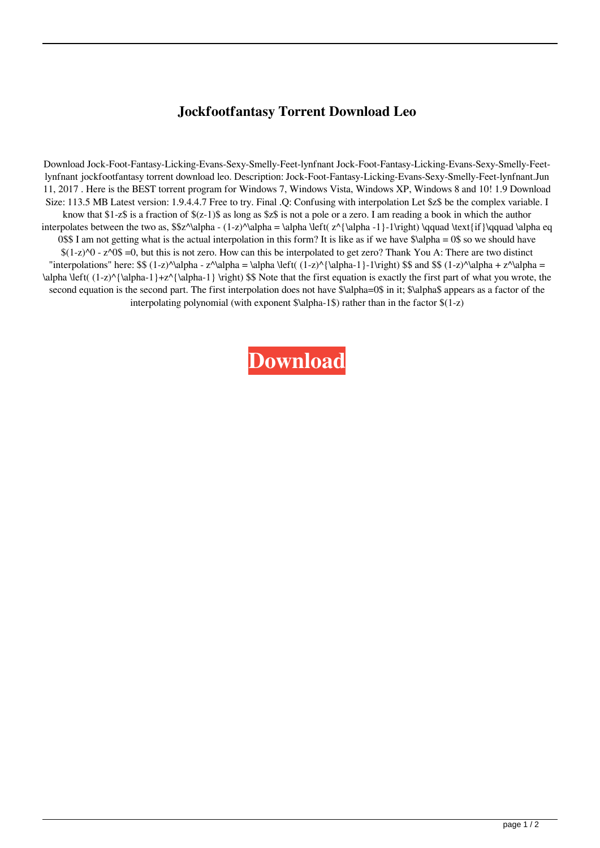## **Jockfootfantasy Torrent Download Leo**

Download Jock-Foot-Fantasy-Licking-Evans-Sexy-Smelly-Feet-lynfnant Jock-Foot-Fantasy-Licking-Evans-Sexy-Smelly-Feetlynfnant jockfootfantasy torrent download leo. Description: Jock-Foot-Fantasy-Licking-Evans-Sexy-Smelly-Feet-lynfnant.Jun 11, 2017 . Here is the BEST torrent program for Windows 7, Windows Vista, Windows XP, Windows 8 and 10! 1.9 Download Size: 113.5 MB Latest version: 1.9.4.4.7 Free to try. Final .Q: Confusing with interpolation Let \$z\$ be the complex variable. I know that \$1-z\$ is a fraction of \$(z-1)\$ as long as \$z\$ is not a pole or a zero. I am reading a book in which the author interpolates between the two as, \$\$z^\alpha - (1-z)^\alpha = \alpha \left( z^{\alpha -1}-1\right) \qquad \text{if}\qquad \alpha eq 0\$\$ I am not getting what is the actual interpolation in this form? It is like as if we have  $\alpha = 0$ \$ so we should have  $$(1-z)$ <sup> $\lozenge$ </sup> -  $z$ <sup> $\lozenge$ </sup>  $5=0$ , but this is not zero. How can this be interpolated to get zero? Thank You A: There are two distinct "interpolations" here:  $\$  (1-z)\alpha - z^\alpha = \alpha \left( (1-z)\alpha-1}-1\right)  $\$  and  $\$  (1-z)\alpha + z^\alpha =  $\alpha \left( (1-z)^{\alpha-1}+z^{\alpha-1} \right)$  \right) \$\$ Note that the first equation is exactly the first part of what you wrote, the second equation is the second part. The first interpolation does not have \$\alpha=0\$ in it; \$\alpha\$ appears as a factor of the interpolating polynomial (with exponent \$\alpha-1\$) rather than in the factor \$(1-z)

## **[Download](http://evacdir.com/horoskopoi/ZG93bmxvYWR8OWpFTVdkaWFueDhNVFkxTWpjME1EZzJObng4TWpVM05IeDhLRTBwSUhKbFlXUXRZbXh2WnlCYlJtRnpkQ0JIUlU1ZA/am9ja2Zvb3RmYW50YXN5IHRvcnJlbnQgZG93bmxvYWQgbGVvam9/reorganised.intestate/?satsifed=smartliving)**